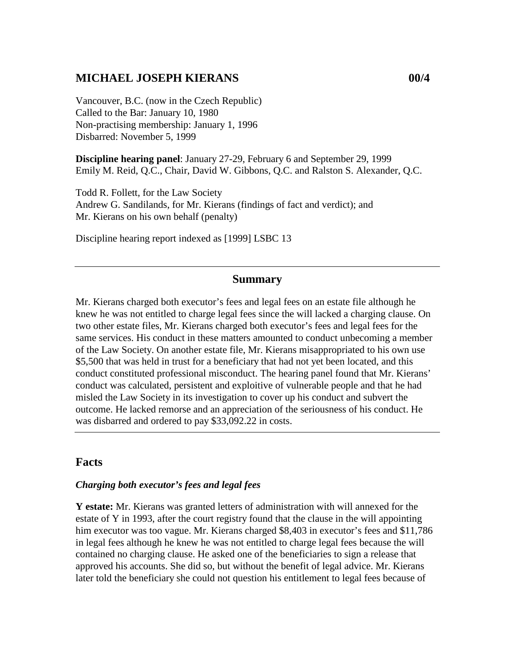## **MICHAEL JOSEPH KIERANS 00/4**

Vancouver, B.C. (now in the Czech Republic) Called to the Bar: January 10, 1980 Non-practising membership: January 1, 1996 Disbarred: November 5, 1999

**Discipline hearing panel**: January 27-29, February 6 and September 29, 1999 Emily M. Reid, Q.C., Chair, David W. Gibbons, Q.C. and Ralston S. Alexander, Q.C.

Todd R. Follett, for the Law Society Andrew G. Sandilands, for Mr. Kierans (findings of fact and verdict); and Mr. Kierans on his own behalf (penalty)

Discipline hearing report indexed as [1999] LSBC 13

### **Summary**

Mr. Kierans charged both executor's fees and legal fees on an estate file although he knew he was not entitled to charge legal fees since the will lacked a charging clause. On two other estate files, Mr. Kierans charged both executor's fees and legal fees for the same services. His conduct in these matters amounted to conduct unbecoming a member of the Law Society. On another estate file, Mr. Kierans misappropriated to his own use \$5,500 that was held in trust for a beneficiary that had not yet been located, and this conduct constituted professional misconduct. The hearing panel found that Mr. Kierans' conduct was calculated, persistent and exploitive of vulnerable people and that he had misled the Law Society in its investigation to cover up his conduct and subvert the outcome. He lacked remorse and an appreciation of the seriousness of his conduct. He was disbarred and ordered to pay \$33,092.22 in costs.

### **Facts**

#### *Charging both executor's fees and legal fees*

**Y estate:** Mr. Kierans was granted letters of administration with will annexed for the estate of Y in 1993, after the court registry found that the clause in the will appointing him executor was too vague. Mr. Kierans charged \$8,403 in executor's fees and \$11,786 in legal fees although he knew he was not entitled to charge legal fees because the will contained no charging clause. He asked one of the beneficiaries to sign a release that approved his accounts. She did so, but without the benefit of legal advice. Mr. Kierans later told the beneficiary she could not question his entitlement to legal fees because of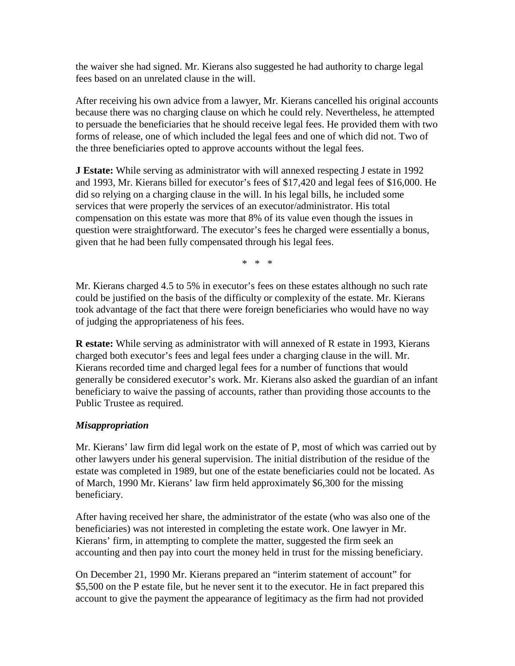the waiver she had signed. Mr. Kierans also suggested he had authority to charge legal fees based on an unrelated clause in the will.

After receiving his own advice from a lawyer, Mr. Kierans cancelled his original accounts because there was no charging clause on which he could rely. Nevertheless, he attempted to persuade the beneficiaries that he should receive legal fees. He provided them with two forms of release, one of which included the legal fees and one of which did not. Two of the three beneficiaries opted to approve accounts without the legal fees.

**J Estate:** While serving as administrator with will annexed respecting J estate in 1992 and 1993, Mr. Kierans billed for executor's fees of \$17,420 and legal fees of \$16,000. He did so relying on a charging clause in the will. In his legal bills, he included some services that were properly the services of an executor/administrator. His total compensation on this estate was more that 8% of its value even though the issues in question were straightforward. The executor's fees he charged were essentially a bonus, given that he had been fully compensated through his legal fees.

\* \* \*

Mr. Kierans charged 4.5 to 5% in executor's fees on these estates although no such rate could be justified on the basis of the difficulty or complexity of the estate. Mr. Kierans took advantage of the fact that there were foreign beneficiaries who would have no way of judging the appropriateness of his fees.

**R estate:** While serving as administrator with will annexed of R estate in 1993, Kierans charged both executor's fees and legal fees under a charging clause in the will. Mr. Kierans recorded time and charged legal fees for a number of functions that would generally be considered executor's work. Mr. Kierans also asked the guardian of an infant beneficiary to waive the passing of accounts, rather than providing those accounts to the Public Trustee as required.

## *Misappropriation*

Mr. Kierans' law firm did legal work on the estate of P, most of which was carried out by other lawyers under his general supervision. The initial distribution of the residue of the estate was completed in 1989, but one of the estate beneficiaries could not be located. As of March, 1990 Mr. Kierans' law firm held approximately \$6,300 for the missing beneficiary.

After having received her share, the administrator of the estate (who was also one of the beneficiaries) was not interested in completing the estate work. One lawyer in Mr. Kierans' firm, in attempting to complete the matter, suggested the firm seek an accounting and then pay into court the money held in trust for the missing beneficiary.

On December 21, 1990 Mr. Kierans prepared an "interim statement of account" for \$5,500 on the P estate file, but he never sent it to the executor. He in fact prepared this account to give the payment the appearance of legitimacy as the firm had not provided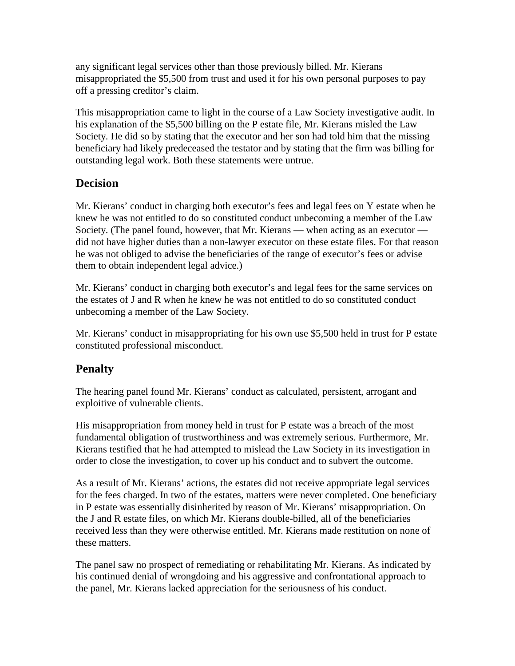any significant legal services other than those previously billed. Mr. Kierans misappropriated the \$5,500 from trust and used it for his own personal purposes to pay off a pressing creditor's claim.

This misappropriation came to light in the course of a Law Society investigative audit. In his explanation of the \$5,500 billing on the P estate file, Mr. Kierans misled the Law Society. He did so by stating that the executor and her son had told him that the missing beneficiary had likely predeceased the testator and by stating that the firm was billing for outstanding legal work. Both these statements were untrue.

# **Decision**

Mr. Kierans' conduct in charging both executor's fees and legal fees on Y estate when he knew he was not entitled to do so constituted conduct unbecoming a member of the Law Society. (The panel found, however, that Mr. Kierans — when acting as an executor did not have higher duties than a non-lawyer executor on these estate files. For that reason he was not obliged to advise the beneficiaries of the range of executor's fees or advise them to obtain independent legal advice.)

Mr. Kierans' conduct in charging both executor's and legal fees for the same services on the estates of J and R when he knew he was not entitled to do so constituted conduct unbecoming a member of the Law Society.

Mr. Kierans' conduct in misappropriating for his own use \$5,500 held in trust for P estate constituted professional misconduct.

# **Penalty**

The hearing panel found Mr. Kierans' conduct as calculated, persistent, arrogant and exploitive of vulnerable clients.

His misappropriation from money held in trust for P estate was a breach of the most fundamental obligation of trustworthiness and was extremely serious. Furthermore, Mr. Kierans testified that he had attempted to mislead the Law Society in its investigation in order to close the investigation, to cover up his conduct and to subvert the outcome.

As a result of Mr. Kierans' actions, the estates did not receive appropriate legal services for the fees charged. In two of the estates, matters were never completed. One beneficiary in P estate was essentially disinherited by reason of Mr. Kierans' misappropriation. On the J and R estate files, on which Mr. Kierans double-billed, all of the beneficiaries received less than they were otherwise entitled. Mr. Kierans made restitution on none of these matters.

The panel saw no prospect of remediating or rehabilitating Mr. Kierans. As indicated by his continued denial of wrongdoing and his aggressive and confrontational approach to the panel, Mr. Kierans lacked appreciation for the seriousness of his conduct.